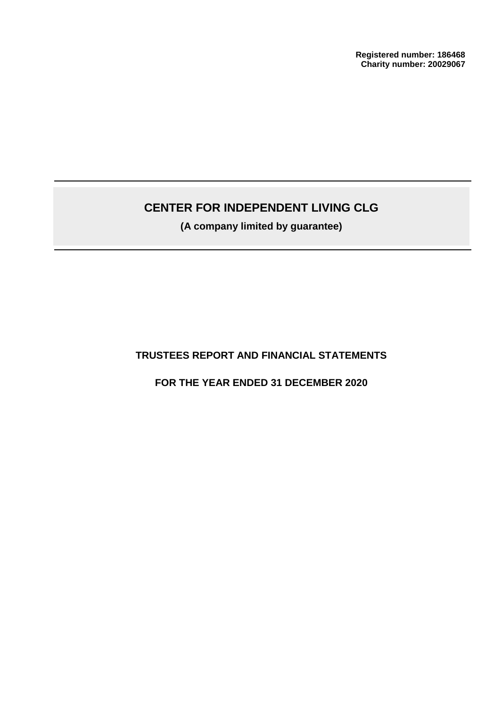**Registered number: 186468 Charity number: 20029067**

# **CENTER FOR INDEPENDENT LIVING CLG**

**(A company limited by guarantee)**

## **TRUSTEES REPORT AND FINANCIAL STATEMENTS**

## **FOR THE YEAR ENDED 31 DECEMBER 2020**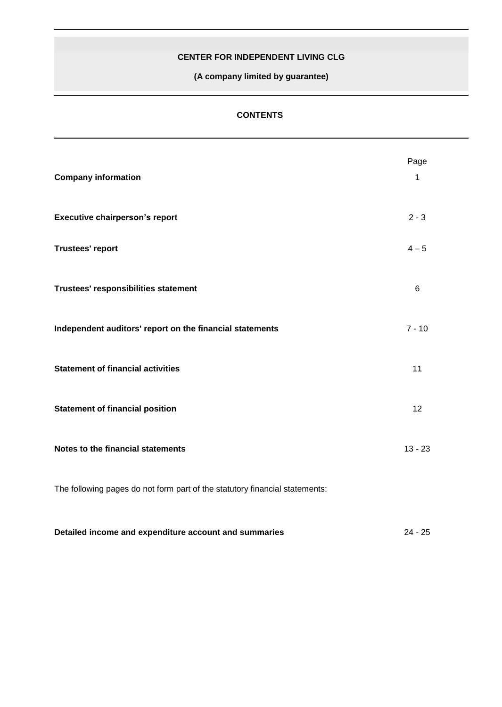**(A company limited by guarantee)**

## **CONTENTS**

| <b>Company information</b>                                                  | Page<br>$\mathbf{1}$ |
|-----------------------------------------------------------------------------|----------------------|
| <b>Executive chairperson's report</b>                                       | $2 - 3$              |
| <b>Trustees' report</b>                                                     | $4 - 5$              |
| Trustees' responsibilities statement                                        | $\,6$                |
| Independent auditors' report on the financial statements                    | $7 - 10$             |
| <b>Statement of financial activities</b>                                    | 11                   |
| <b>Statement of financial position</b>                                      | 12                   |
| Notes to the financial statements                                           | $13 - 23$            |
| The following pages do not form part of the statutory financial statements: |                      |
| Detailed income and expenditure account and summaries                       | $24 - 25$            |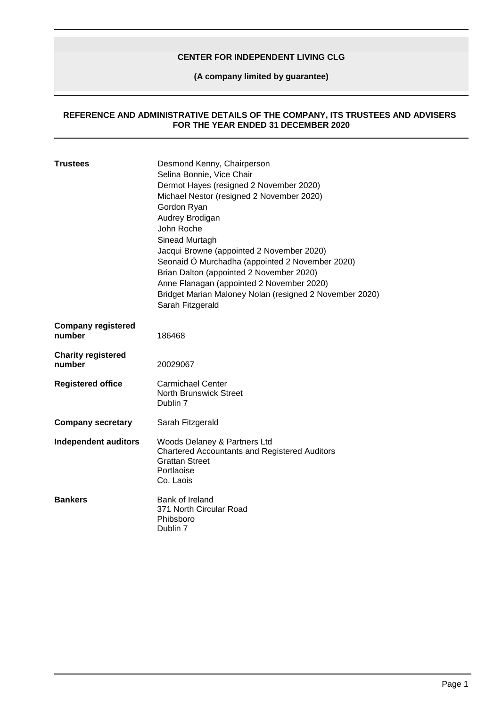**(A company limited by guarantee)**

#### **REFERENCE AND ADMINISTRATIVE DETAILS OF THE COMPANY, ITS TRUSTEES AND ADVISERS FOR THE YEAR ENDED 31 DECEMBER 2020**

| <b>Trustees</b>                     | Desmond Kenny, Chairperson<br>Selina Bonnie, Vice Chair<br>Dermot Hayes (resigned 2 November 2020)<br>Michael Nestor (resigned 2 November 2020)<br>Gordon Ryan<br>Audrey Brodigan<br>John Roche<br>Sinead Murtagh<br>Jacqui Browne (appointed 2 November 2020)<br>Seonaid Ó Murchadha (appointed 2 November 2020)<br>Brian Dalton (appointed 2 November 2020)<br>Anne Flanagan (appointed 2 November 2020)<br>Bridget Marian Maloney Nolan (resigned 2 November 2020)<br>Sarah Fitzgerald |
|-------------------------------------|-------------------------------------------------------------------------------------------------------------------------------------------------------------------------------------------------------------------------------------------------------------------------------------------------------------------------------------------------------------------------------------------------------------------------------------------------------------------------------------------|
| <b>Company registered</b><br>number | 186468                                                                                                                                                                                                                                                                                                                                                                                                                                                                                    |
| <b>Charity registered</b><br>number | 20029067                                                                                                                                                                                                                                                                                                                                                                                                                                                                                  |
| <b>Registered office</b>            | <b>Carmichael Center</b><br><b>North Brunswick Street</b><br>Dublin 7                                                                                                                                                                                                                                                                                                                                                                                                                     |
| <b>Company secretary</b>            | Sarah Fitzgerald                                                                                                                                                                                                                                                                                                                                                                                                                                                                          |
| <b>Independent auditors</b>         | Woods Delaney & Partners Ltd<br><b>Chartered Accountants and Registered Auditors</b><br><b>Grattan Street</b><br>Portlaoise<br>Co. Laois                                                                                                                                                                                                                                                                                                                                                  |
| <b>Bankers</b>                      | Bank of Ireland<br>371 North Circular Road<br>Phibsboro<br>Dublin 7                                                                                                                                                                                                                                                                                                                                                                                                                       |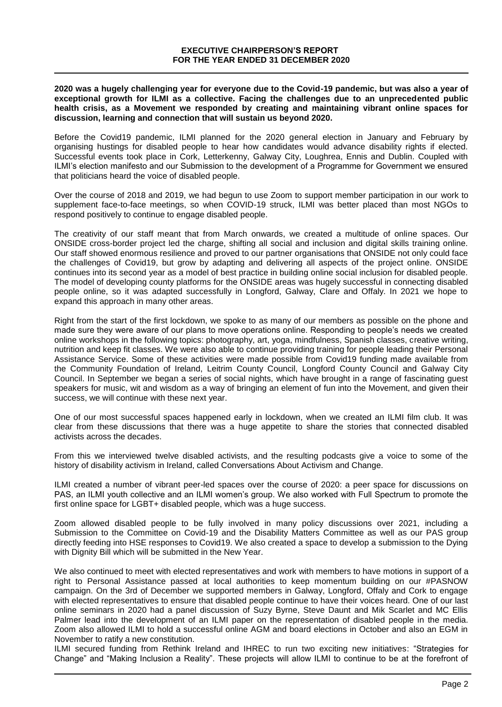**2020 was a hugely challenging year for everyone due to the Covid-19 pandemic, but was also a year of exceptional growth for ILMI as a collective. Facing the challenges due to an unprecedented public health crisis, as a Movement we responded by creating and maintaining vibrant online spaces for discussion, learning and connection that will sustain us beyond 2020.** 

Before the Covid19 pandemic, ILMI planned for the 2020 general election in January and February by organising hustings for disabled people to hear how candidates would advance disability rights if elected. Successful events took place in Cork, Letterkenny, Galway City, Loughrea, Ennis and Dublin. Coupled with ILMI's election manifesto and our Submission to the development of a Programme for Government we ensured that politicians heard the voice of disabled people.

Over the course of 2018 and 2019, we had begun to use Zoom to support member participation in our work to supplement face-to-face meetings, so when COVID-19 struck, ILMI was better placed than most NGOs to respond positively to continue to engage disabled people.

The creativity of our staff meant that from March onwards, we created a multitude of online spaces. Our ONSIDE cross-border project led the charge, shifting all social and inclusion and digital skills training online. Our staff showed enormous resilience and proved to our partner organisations that ONSIDE not only could face the challenges of Covid19, but grow by adapting and delivering all aspects of the project online. ONSIDE continues into its second year as a model of best practice in building online social inclusion for disabled people. The model of developing county platforms for the ONSIDE areas was hugely successful in connecting disabled people online, so it was adapted successfully in Longford, Galway, Clare and Offaly. In 2021 we hope to expand this approach in many other areas.

Right from the start of the first lockdown, we spoke to as many of our members as possible on the phone and made sure they were aware of our plans to move operations online. Responding to people's needs we created online workshops in the following topics: photography, art, yoga, mindfulness, Spanish classes, creative writing, nutrition and keep fit classes. We were also able to continue providing training for people leading their Personal Assistance Service. Some of these activities were made possible from Covid19 funding made available from the Community Foundation of Ireland, Leitrim County Council, Longford County Council and Galway City Council. In September we began a series of social nights, which have brought in a range of fascinating guest speakers for music, wit and wisdom as a way of bringing an element of fun into the Movement, and given their success, we will continue with these next year.

One of our most successful spaces happened early in lockdown, when we created an ILMI film club. It was clear from these discussions that there was a huge appetite to share the stories that connected disabled activists across the decades.

From this we interviewed twelve disabled activists, and the resulting podcasts give a voice to some of the history of disability activism in Ireland, called Conversations About Activism and Change.

ILMI created a number of vibrant peer-led spaces over the course of 2020: a peer space for discussions on PAS, an ILMI youth collective and an ILMI women's group. We also worked with Full Spectrum to promote the first online space for LGBT+ disabled people, which was a huge success.

Zoom allowed disabled people to be fully involved in many policy discussions over 2021, including a Submission to the Committee on Covid-19 and the Disability Matters Committee as well as our PAS group directly feeding into HSE responses to Covid19. We also created a space to develop a submission to the Dying with Dignity Bill which will be submitted in the New Year.

We also continued to meet with elected representatives and work with members to have motions in support of a right to Personal Assistance passed at local authorities to keep momentum building on our #PASNOW campaign. On the 3rd of December we supported members in Galway, Longford, Offaly and Cork to engage with elected representatives to ensure that disabled people continue to have their voices heard. One of our last online seminars in 2020 had a panel discussion of Suzy Byrne, Steve Daunt and Mik Scarlet and MC Ellis Palmer lead into the development of an ILMI paper on the representation of disabled people in the media. Zoom also allowed ILMI to hold a successful online AGM and board elections in October and also an EGM in November to ratify a new constitution.

ILMI secured funding from Rethink Ireland and IHREC to run two exciting new initiatives: "Strategies for Change" and "Making Inclusion a Reality". These projects will allow ILMI to continue to be at the forefront of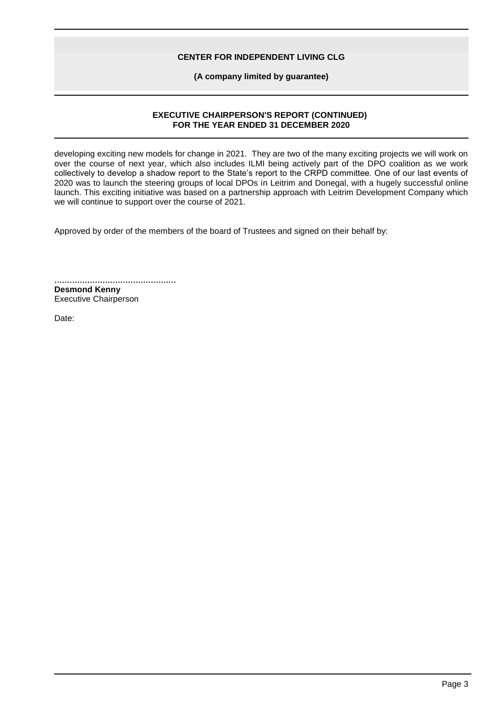**(A company limited by guarantee)**

### **EXECUTIVE CHAIRPERSON'S REPORT (CONTINUED) FOR THE YEAR ENDED 31 DECEMBER 2020**

developing exciting new models for change in 2021. They are two of the many exciting projects we will work on over the course of next year, which also includes ILMI being actively part of the DPO coalition as we work collectively to develop a shadow report to the State's report to the CRPD committee. One of our last events of 2020 was to launch the steering groups of local DPOs in Leitrim and Donegal, with a hugely successful online launch. This exciting initiative was based on a partnership approach with Leitrim Development Company which we will continue to support over the course of 2021.

Approved by order of the members of the board of Trustees and signed on their behalf by:

................................................ **Desmond Kenny** Executive Chairperson

Date: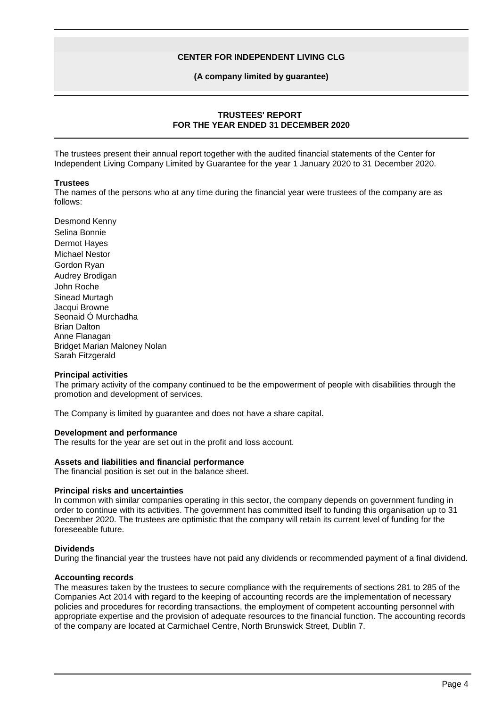#### **(A company limited by guarantee)**

## **TRUSTEES' REPORT FOR THE YEAR ENDED 31 DECEMBER 2020**

The trustees present their annual report together with the audited financial statements of the Center for Independent Living Company Limited by Guarantee for the year 1 January 2020 to 31 December 2020.

#### **Trustees**

The names of the persons who at any time during the financial year were trustees of the company are as follows:

Desmond Kenny Selina Bonnie Dermot Hayes Michael Nestor Gordon Ryan Audrey Brodigan John Roche Sinead Murtagh Jacqui Browne Seonaid Ó Murchadha Brian Dalton Anne Flanagan Bridget Marian Maloney Nolan Sarah Fitzgerald

#### **Principal activities**

The primary activity of the company continued to be the empowerment of people with disabilities through the promotion and development of services.

The Company is limited by guarantee and does not have a share capital.

#### **Development and performance**

The results for the year are set out in the profit and loss account.

#### **Assets and liabilities and financial performance**

The financial position is set out in the balance sheet.

#### **Principal risks and uncertainties**

In common with similar companies operating in this sector, the company depends on government funding in order to continue with its activities. The government has committed itself to funding this organisation up to 31 December 2020. The trustees are optimistic that the company will retain its current level of funding for the foreseeable future.

#### **Dividends**

During the financial year the trustees have not paid any dividends or recommended payment of a final dividend.

#### **Accounting records**

The measures taken by the trustees to secure compliance with the requirements of sections 281 to 285 of the Companies Act 2014 with regard to the keeping of accounting records are the implementation of necessary policies and procedures for recording transactions, the employment of competent accounting personnel with appropriate expertise and the provision of adequate resources to the financial function. The accounting records of the company are located at Carmichael Centre, North Brunswick Street, Dublin 7.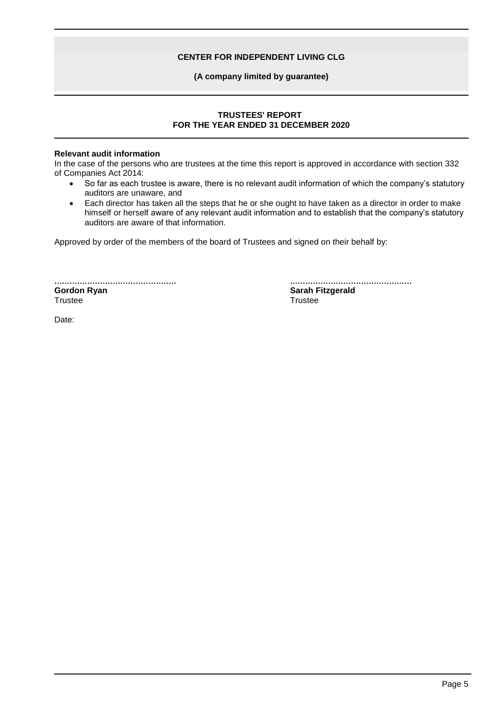### **(A company limited by guarantee)**

## **TRUSTEES' REPORT FOR THE YEAR ENDED 31 DECEMBER 2020**

## **Relevant audit information**

In the case of the persons who are trustees at the time this report is approved in accordance with section 332 of Companies Act 2014:

- So far as each trustee is aware, there is no relevant audit information of which the company's statutory auditors are unaware, and
- Each director has taken all the steps that he or she ought to have taken as a director in order to make himself or herself aware of any relevant audit information and to establish that the company's statutory auditors are aware of that information.

Approved by order of the members of the board of Trustees and signed on their behalf by:

................................................ **Gordon Ryan Trustee** 

................................................ **Sarah Fitzgerald Trustee** 

Date: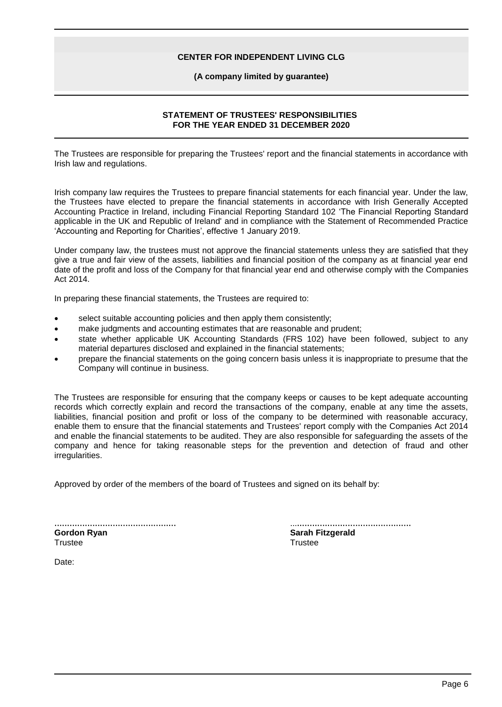#### **(A company limited by guarantee)**

## **STATEMENT OF TRUSTEES' RESPONSIBILITIES FOR THE YEAR ENDED 31 DECEMBER 2020**

The Trustees are responsible for preparing the Trustees' report and the financial statements in accordance with Irish law and regulations.

Irish company law requires the Trustees to prepare financial statements for each financial year. Under the law, the Trustees have elected to prepare the financial statements in accordance with Irish Generally Accepted Accounting Practice in Ireland, including Financial Reporting Standard 102 'The Financial Reporting Standard applicable in the UK and Republic of Ireland' and in compliance with the Statement of Recommended Practice 'Accounting and Reporting for Charities', effective 1 January 2019.

Under company law, the trustees must not approve the financial statements unless they are satisfied that they give a true and fair view of the assets, liabilities and financial position of the company as at financial year end date of the profit and loss of the Company for that financial year end and otherwise comply with the Companies Act 2014.

In preparing these financial statements, the Trustees are required to:

- select suitable accounting policies and then apply them consistently;
- make judgments and accounting estimates that are reasonable and prudent;
- state whether applicable UK Accounting Standards (FRS 102) have been followed, subject to any material departures disclosed and explained in the financial statements;
- prepare the financial statements on the going concern basis unless it is inappropriate to presume that the Company will continue in business.

The Trustees are responsible for ensuring that the company keeps or causes to be kept adequate accounting records which correctly explain and record the transactions of the company, enable at any time the assets, liabilities, financial position and profit or loss of the company to be determined with reasonable accuracy, enable them to ensure that the financial statements and Trustees' report comply with the Companies Act 2014 and enable the financial statements to be audited. They are also responsible for safeguarding the assets of the company and hence for taking reasonable steps for the prevention and detection of fraud and other irregularities.

Approved by order of the members of the board of Trustees and signed on its behalf by:

| <b>Gordon Ryan</b> |  |  |  |  |
|--------------------|--|--|--|--|
| Trustee            |  |  |  |  |

| <b>Sarah Fitzgerald</b> |  |  |
|-------------------------|--|--|
| Trustee                 |  |  |

Date: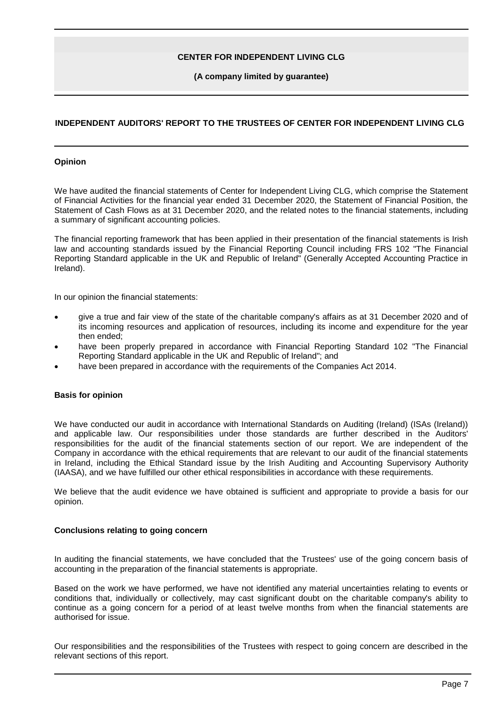#### **(A company limited by guarantee)**

## **INDEPENDENT AUDITORS' REPORT TO THE TRUSTEES OF CENTER FOR INDEPENDENT LIVING CLG**

#### **Opinion**

We have audited the financial statements of Center for Independent Living CLG, which comprise the Statement of Financial Activities for the financial year ended 31 December 2020, the Statement of Financial Position, the Statement of Cash Flows as at 31 December 2020, and the related notes to the financial statements, including a summary of significant accounting policies.

The financial reporting framework that has been applied in their presentation of the financial statements is Irish law and accounting standards issued by the Financial Reporting Council including FRS 102 "The Financial Reporting Standard applicable in the UK and Republic of Ireland" (Generally Accepted Accounting Practice in Ireland).

In our opinion the financial statements:

- give a true and fair view of the state of the charitable company's affairs as at 31 December 2020 and of its incoming resources and application of resources, including its income and expenditure for the year then ended;
- have been properly prepared in accordance with Financial Reporting Standard 102 "The Financial Reporting Standard applicable in the UK and Republic of Ireland"; and
- have been prepared in accordance with the requirements of the Companies Act 2014.

#### **Basis for opinion**

We have conducted our audit in accordance with International Standards on Auditing (Ireland) (ISAs (Ireland)) and applicable law. Our responsibilities under those standards are further described in the Auditors' responsibilities for the audit of the financial statements section of our report. We are independent of the Company in accordance with the ethical requirements that are relevant to our audit of the financial statements in Ireland, including the Ethical Standard issue by the Irish Auditing and Accounting Supervisory Authority (IAASA), and we have fulfilled our other ethical responsibilities in accordance with these requirements.

We believe that the audit evidence we have obtained is sufficient and appropriate to provide a basis for our opinion.

### **Conclusions relating to going concern**

In auditing the financial statements, we have concluded that the Trustees' use of the going concern basis of accounting in the preparation of the financial statements is appropriate.

Based on the work we have performed, we have not identified any material uncertainties relating to events or conditions that, individually or collectively, may cast significant doubt on the charitable company's ability to continue as a going concern for a period of at least twelve months from when the financial statements are authorised for issue.

Our responsibilities and the responsibilities of the Trustees with respect to going concern are described in the relevant sections of this report.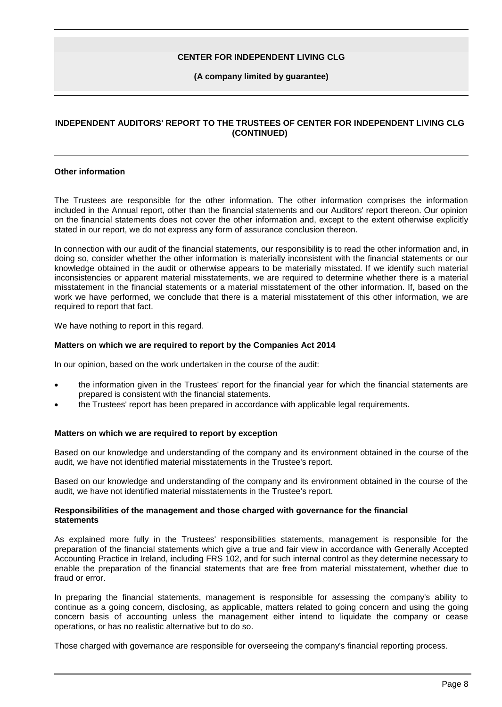#### **(A company limited by guarantee)**

## **INDEPENDENT AUDITORS' REPORT TO THE TRUSTEES OF CENTER FOR INDEPENDENT LIVING CLG (CONTINUED)**

#### **Other information**

The Trustees are responsible for the other information. The other information comprises the information included in the Annual report, other than the financial statements and our Auditors' report thereon. Our opinion on the financial statements does not cover the other information and, except to the extent otherwise explicitly stated in our report, we do not express any form of assurance conclusion thereon.

In connection with our audit of the financial statements, our responsibility is to read the other information and, in doing so, consider whether the other information is materially inconsistent with the financial statements or our knowledge obtained in the audit or otherwise appears to be materially misstated. If we identify such material inconsistencies or apparent material misstatements, we are required to determine whether there is a material misstatement in the financial statements or a material misstatement of the other information. If, based on the work we have performed, we conclude that there is a material misstatement of this other information, we are required to report that fact.

We have nothing to report in this regard.

### **Matters on which we are required to report by the Companies Act 2014**

In our opinion, based on the work undertaken in the course of the audit:

- the information given in the Trustees' report for the financial year for which the financial statements are prepared is consistent with the financial statements.
- the Trustees' report has been prepared in accordance with applicable legal requirements.

#### **Matters on which we are required to report by exception**

Based on our knowledge and understanding of the company and its environment obtained in the course of the audit, we have not identified material misstatements in the Trustee's report.

Based on our knowledge and understanding of the company and its environment obtained in the course of the audit, we have not identified material misstatements in the Trustee's report.

#### **Responsibilities of the management and those charged with governance for the financial statements**

As explained more fully in the Trustees' responsibilities statements, management is responsible for the preparation of the financial statements which give a true and fair view in accordance with Generally Accepted Accounting Practice in Ireland, including FRS 102, and for such internal control as they determine necessary to enable the preparation of the financial statements that are free from material misstatement, whether due to fraud or error.

In preparing the financial statements, management is responsible for assessing the company's ability to continue as a going concern, disclosing, as applicable, matters related to going concern and using the going concern basis of accounting unless the management either intend to liquidate the company or cease operations, or has no realistic alternative but to do so.

Those charged with governance are responsible for overseeing the company's financial reporting process.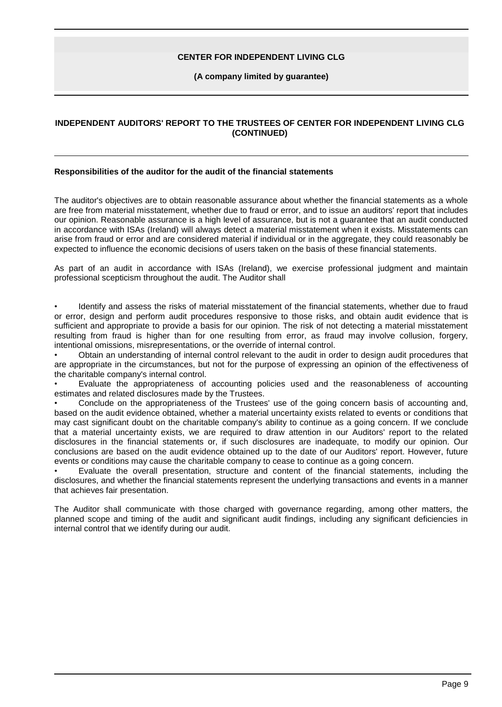#### **(A company limited by guarantee)**

## **INDEPENDENT AUDITORS' REPORT TO THE TRUSTEES OF CENTER FOR INDEPENDENT LIVING CLG (CONTINUED)**

#### **Responsibilities of the auditor for the audit of the financial statements**

The auditor's objectives are to obtain reasonable assurance about whether the financial statements as a whole are free from material misstatement, whether due to fraud or error, and to issue an auditors' report that includes our opinion. Reasonable assurance is a high level of assurance, but is not a guarantee that an audit conducted in accordance with ISAs (Ireland) will always detect a material misstatement when it exists. Misstatements can arise from fraud or error and are considered material if individual or in the aggregate, they could reasonably be expected to influence the economic decisions of users taken on the basis of these financial statements.

As part of an audit in accordance with ISAs (Ireland), we exercise professional judgment and maintain professional scepticism throughout the audit. The Auditor shall

• Identify and assess the risks of material misstatement of the financial statements, whether due to fraud or error, design and perform audit procedures responsive to those risks, and obtain audit evidence that is sufficient and appropriate to provide a basis for our opinion. The risk of not detecting a material misstatement resulting from fraud is higher than for one resulting from error, as fraud may involve collusion, forgery, intentional omissions, misrepresentations, or the override of internal control.

• Obtain an understanding of internal control relevant to the audit in order to design audit procedures that are appropriate in the circumstances, but not for the purpose of expressing an opinion of the effectiveness of the charitable company's internal control.

• Evaluate the appropriateness of accounting policies used and the reasonableness of accounting estimates and related disclosures made by the Trustees.

• Conclude on the appropriateness of the Trustees' use of the going concern basis of accounting and, based on the audit evidence obtained, whether a material uncertainty exists related to events or conditions that may cast significant doubt on the charitable company's ability to continue as a going concern. If we conclude that a material uncertainty exists, we are required to draw attention in our Auditors' report to the related disclosures in the financial statements or, if such disclosures are inadequate, to modify our opinion. Our conclusions are based on the audit evidence obtained up to the date of our Auditors' report. However, future events or conditions may cause the charitable company to cease to continue as a going concern.

• Evaluate the overall presentation, structure and content of the financial statements, including the disclosures, and whether the financial statements represent the underlying transactions and events in a manner that achieves fair presentation.

The Auditor shall communicate with those charged with governance regarding, among other matters, the planned scope and timing of the audit and significant audit findings, including any significant deficiencies in internal control that we identify during our audit.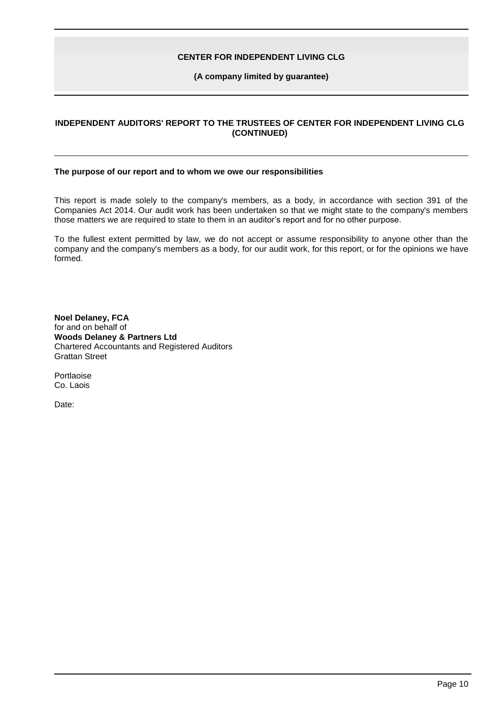#### **(A company limited by guarantee)**

## **INDEPENDENT AUDITORS' REPORT TO THE TRUSTEES OF CENTER FOR INDEPENDENT LIVING CLG (CONTINUED)**

#### **The purpose of our report and to whom we owe our responsibilities**

This report is made solely to the company's members, as a body, in accordance with section 391 of the Companies Act 2014. Our audit work has been undertaken so that we might state to the company's members those matters we are required to state to them in an auditor's report and for no other purpose.

To the fullest extent permitted by law, we do not accept or assume responsibility to anyone other than the company and the company's members as a body, for our audit work, for this report, or for the opinions we have formed.

**Noel Delaney, FCA** for and on behalf of **Woods Delaney & Partners Ltd** Chartered Accountants and Registered Auditors Grattan Street

Portlaoise Co. Laois

Date: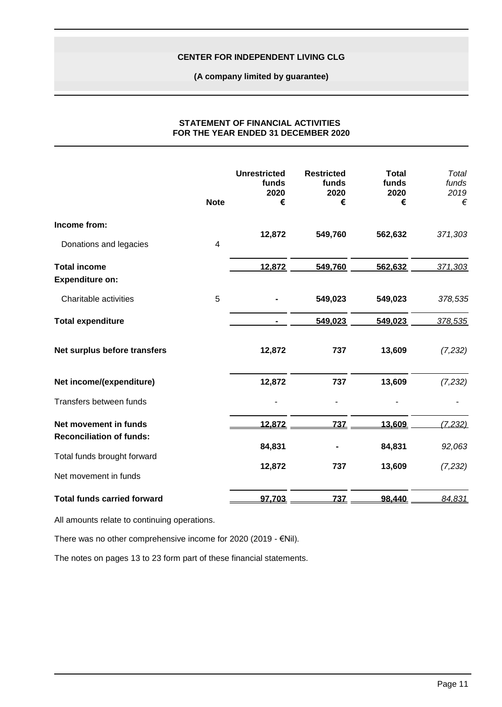### **(A company limited by guarantee)**

|                                    | <b>Note</b> | <b>Unrestricted</b><br>funds<br>2020<br>€ | <b>Restricted</b><br>funds<br>2020<br>€ | <b>Total</b><br>funds<br>2020<br>€ | <b>Total</b><br>funds<br>2019<br>€ |
|------------------------------------|-------------|-------------------------------------------|-----------------------------------------|------------------------------------|------------------------------------|
| Income from:                       |             |                                           |                                         |                                    |                                    |
| Donations and legacies             | 4           | 12,872                                    | 549,760                                 | 562,632                            | 371,303                            |
| <b>Total income</b>                |             | 12,872                                    | 549,760                                 | 562,632                            | 371,303                            |
| <b>Expenditure on:</b>             |             |                                           |                                         |                                    |                                    |
| Charitable activities              | 5           |                                           | 549,023                                 | 549,023                            | 378,535                            |
| <b>Total expenditure</b>           |             |                                           | 549,023                                 | 549,023                            | 378,535                            |
| Net surplus before transfers       |             | 12,872                                    | 737                                     | 13,609                             | (7, 232)                           |
| Net income/(expenditure)           |             | 12,872                                    | 737                                     | 13,609                             | (7, 232)                           |
| Transfers between funds            |             |                                           |                                         |                                    |                                    |
| Net movement in funds              |             | 12.872                                    | 737                                     | 13.609                             | (7, 232)                           |
| <b>Reconciliation of funds:</b>    |             |                                           |                                         |                                    |                                    |
| Total funds brought forward        |             | 84,831                                    |                                         | 84,831                             | 92,063                             |
| Net movement in funds              |             | 12,872                                    | 737                                     | 13,609                             | (7, 232)                           |
| <b>Total funds carried forward</b> |             | 97,703                                    | 737                                     | 98,440                             | 84,831                             |

#### **STATEMENT OF FINANCIAL ACTIVITIES FOR THE YEAR ENDED 31 DECEMBER 2020**

All amounts relate to continuing operations.

There was no other comprehensive income for 2020 (2019 - €Nil).

The notes on pages 13 to 23 form part of these financial statements.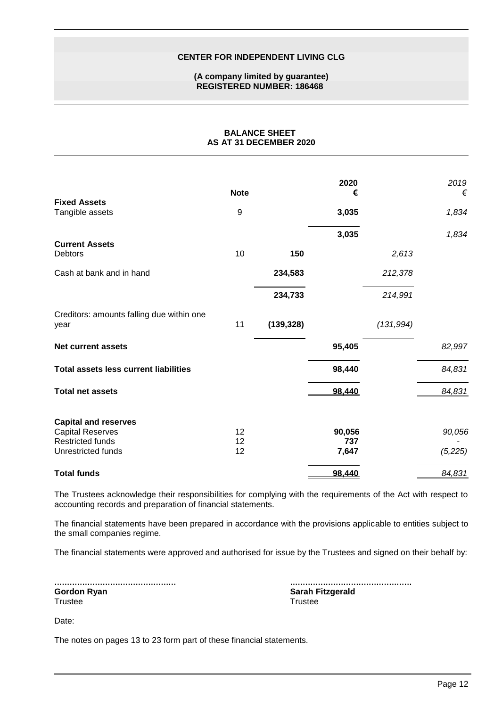#### **(A company limited by guarantee) REGISTERED NUMBER: 186468**

**BALANCE SHEET AS AT 31 DECEMBER 2020**

|                                                    | <b>Note</b> |            | 2020<br>€     |            | 2019<br>€ |
|----------------------------------------------------|-------------|------------|---------------|------------|-----------|
| <b>Fixed Assets</b><br>Tangible assets             | 9           |            | 3,035         |            | 1,834     |
|                                                    |             |            | 3,035         |            | 1,834     |
| <b>Current Assets</b><br>Debtors                   | 10          | 150        |               | 2,613      |           |
| Cash at bank and in hand                           |             | 234,583    |               | 212,378    |           |
|                                                    |             | 234,733    |               | 214,991    |           |
| Creditors: amounts falling due within one<br>year  | 11          | (139, 328) |               | (131, 994) |           |
| <b>Net current assets</b>                          |             |            | 95,405        |            | 82,997    |
| <b>Total assets less current liabilities</b>       |             |            | 98,440        |            | 84,831    |
| <b>Total net assets</b>                            |             |            | 98.440        |            | 84,831    |
| <b>Capital and reserves</b>                        |             |            |               |            |           |
| <b>Capital Reserves</b><br><b>Restricted funds</b> | 12<br>12    |            | 90,056<br>737 |            | 90,056    |
| Unrestricted funds                                 | 12          |            | 7,647         |            | (5,225)   |
| <b>Total funds</b>                                 |             |            | 98.440        |            | 84,831    |

The Trustees acknowledge their responsibilities for complying with the requirements of the Act with respect to accounting records and preparation of financial statements.

The financial statements have been prepared in accordance with the provisions applicable to entities subject to the small companies regime.

The financial statements were approved and authorised for issue by the Trustees and signed on their behalf by:

| Gordon Ryan |  |  |
|-------------|--|--|
| Trustee     |  |  |

| <b>Sarah Fitzgerald</b> |
|-------------------------|
| Trustee                 |

Date:

The notes on pages 13 to 23 form part of these financial statements.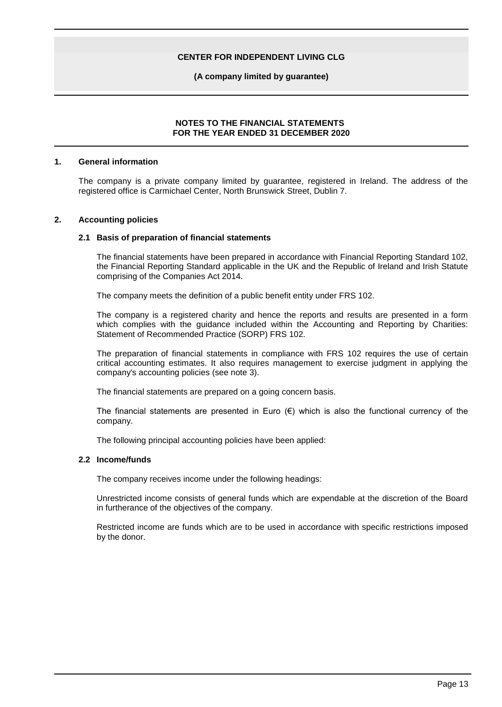**(A company limited by guarantee)**

### **NOTES TO THE FINANCIAL STATEMENTS FOR THE YEAR ENDED 31 DECEMBER 2020**

#### **1. General information**

The company is a private company limited by guarantee, registered in Ireland. The address of the registered office is Carmichael Center, North Brunswick Street, Dublin 7.

#### **2. Accounting policies**

#### **2.1 Basis of preparation of financial statements**

The financial statements have been prepared in accordance with Financial Reporting Standard 102, the Financial Reporting Standard applicable in the UK and the Republic of Ireland and Irish Statute comprising of the Companies Act 2014.

The company meets the definition of a public benefit entity under FRS 102.

The company is a registered charity and hence the reports and results are presented in a form which complies with the guidance included within the Accounting and Reporting by Charities: Statement of Recommended Practice (SORP) FRS 102.

The preparation of financial statements in compliance with FRS 102 requires the use of certain critical accounting estimates. It also requires management to exercise judgment in applying the company's accounting policies (see note 3).

The financial statements are prepared on a going concern basis.

The financial statements are presented in Euro  $(\epsilon)$  which is also the functional currency of the company.

The following principal accounting policies have been applied:

#### **2.2 Income/funds**

The company receives income under the following headings:

Unrestricted income consists of general funds which are expendable at the discretion of the Board in furtherance of the objectives of the company.

Restricted income are funds which are to be used in accordance with specific restrictions imposed by the donor.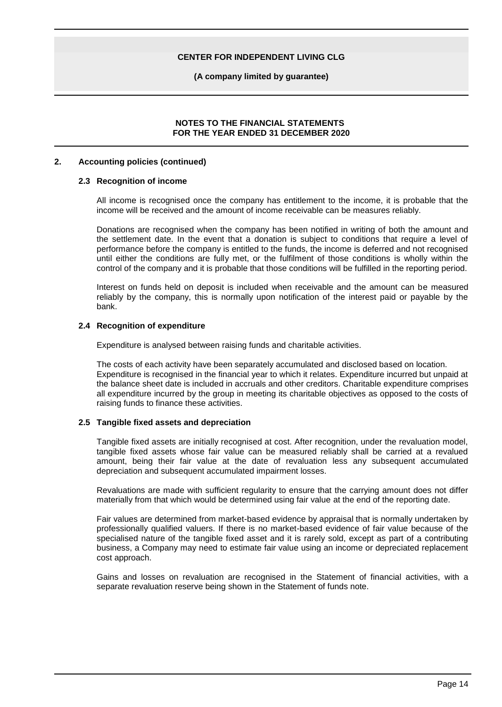**(A company limited by guarantee)**

### **NOTES TO THE FINANCIAL STATEMENTS FOR THE YEAR ENDED 31 DECEMBER 2020**

#### **2. Accounting policies (continued)**

#### **2.3 Recognition of income**

All income is recognised once the company has entitlement to the income, it is probable that the income will be received and the amount of income receivable can be measures reliably.

Donations are recognised when the company has been notified in writing of both the amount and the settlement date. In the event that a donation is subject to conditions that require a level of performance before the company is entitled to the funds, the income is deferred and not recognised until either the conditions are fully met, or the fulfilment of those conditions is wholly within the control of the company and it is probable that those conditions will be fulfilled in the reporting period.

Interest on funds held on deposit is included when receivable and the amount can be measured reliably by the company, this is normally upon notification of the interest paid or payable by the bank.

#### **2.4 Recognition of expenditure**

Expenditure is analysed between raising funds and charitable activities.

The costs of each activity have been separately accumulated and disclosed based on location. Expenditure is recognised in the financial year to which it relates. Expenditure incurred but unpaid at the balance sheet date is included in accruals and other creditors. Charitable expenditure comprises all expenditure incurred by the group in meeting its charitable objectives as opposed to the costs of raising funds to finance these activities.

#### **2.5 Tangible fixed assets and depreciation**

Tangible fixed assets are initially recognised at cost. After recognition, under the revaluation model, tangible fixed assets whose fair value can be measured reliably shall be carried at a revalued amount, being their fair value at the date of revaluation less any subsequent accumulated depreciation and subsequent accumulated impairment losses.

Revaluations are made with sufficient regularity to ensure that the carrying amount does not differ materially from that which would be determined using fair value at the end of the reporting date.

Fair values are determined from market-based evidence by appraisal that is normally undertaken by professionally qualified valuers. If there is no market-based evidence of fair value because of the specialised nature of the tangible fixed asset and it is rarely sold, except as part of a contributing business, a Company may need to estimate fair value using an income or depreciated replacement cost approach.

Gains and losses on revaluation are recognised in the Statement of financial activities, with a separate revaluation reserve being shown in the Statement of funds note.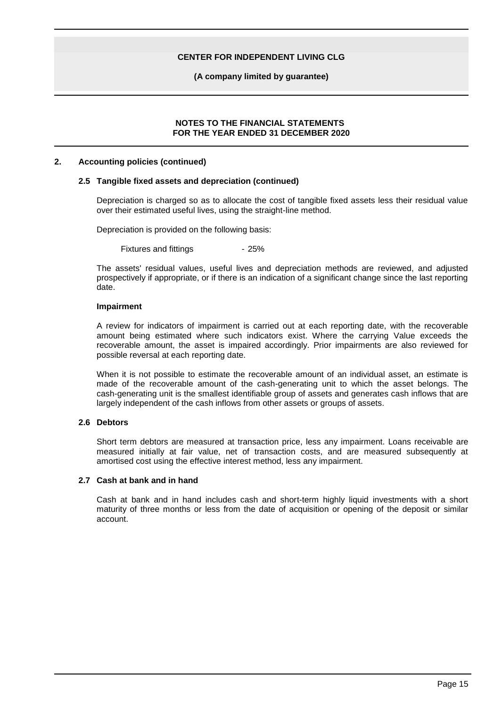**(A company limited by guarantee)**

#### **NOTES TO THE FINANCIAL STATEMENTS FOR THE YEAR ENDED 31 DECEMBER 2020**

#### **2. Accounting policies (continued)**

#### **2.5 Tangible fixed assets and depreciation (continued)**

Depreciation is charged so as to allocate the cost of tangible fixed assets less their residual value over their estimated useful lives, using the straight-line method.

Depreciation is provided on the following basis:

Fixtures and fittings **- 25%** 

The assets' residual values, useful lives and depreciation methods are reviewed, and adjusted prospectively if appropriate, or if there is an indication of a significant change since the last reporting date.

#### **Impairment**

A review for indicators of impairment is carried out at each reporting date, with the recoverable amount being estimated where such indicators exist. Where the carrying Value exceeds the recoverable amount, the asset is impaired accordingly. Prior impairments are also reviewed for possible reversal at each reporting date.

When it is not possible to estimate the recoverable amount of an individual asset, an estimate is made of the recoverable amount of the cash-generating unit to which the asset belongs. The cash-generating unit is the smallest identifiable group of assets and generates cash inflows that are largely independent of the cash inflows from other assets or groups of assets.

## **2.6 Debtors**

Short term debtors are measured at transaction price, less any impairment. Loans receivable are measured initially at fair value, net of transaction costs, and are measured subsequently at amortised cost using the effective interest method, less any impairment.

#### **2.7 Cash at bank and in hand**

Cash at bank and in hand includes cash and short-term highly liquid investments with a short maturity of three months or less from the date of acquisition or opening of the deposit or similar account.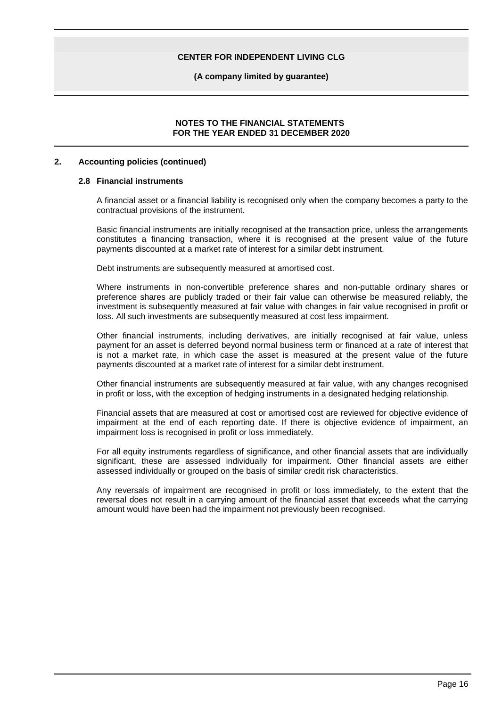**(A company limited by guarantee)**

### **NOTES TO THE FINANCIAL STATEMENTS FOR THE YEAR ENDED 31 DECEMBER 2020**

#### **2. Accounting policies (continued)**

#### **2.8 Financial instruments**

A financial asset or a financial liability is recognised only when the company becomes a party to the contractual provisions of the instrument.

Basic financial instruments are initially recognised at the transaction price, unless the arrangements constitutes a financing transaction, where it is recognised at the present value of the future payments discounted at a market rate of interest for a similar debt instrument.

Debt instruments are subsequently measured at amortised cost.

Where instruments in non-convertible preference shares and non-puttable ordinary shares or preference shares are publicly traded or their fair value can otherwise be measured reliably, the investment is subsequently measured at fair value with changes in fair value recognised in profit or loss. All such investments are subsequently measured at cost less impairment.

Other financial instruments, including derivatives, are initially recognised at fair value, unless payment for an asset is deferred beyond normal business term or financed at a rate of interest that is not a market rate, in which case the asset is measured at the present value of the future payments discounted at a market rate of interest for a similar debt instrument.

Other financial instruments are subsequently measured at fair value, with any changes recognised in profit or loss, with the exception of hedging instruments in a designated hedging relationship.

Financial assets that are measured at cost or amortised cost are reviewed for objective evidence of impairment at the end of each reporting date. If there is objective evidence of impairment, an impairment loss is recognised in profit or loss immediately.

For all equity instruments regardless of significance, and other financial assets that are individually significant, these are assessed individually for impairment. Other financial assets are either assessed individually or grouped on the basis of similar credit risk characteristics.

Any reversals of impairment are recognised in profit or loss immediately, to the extent that the reversal does not result in a carrying amount of the financial asset that exceeds what the carrying amount would have been had the impairment not previously been recognised.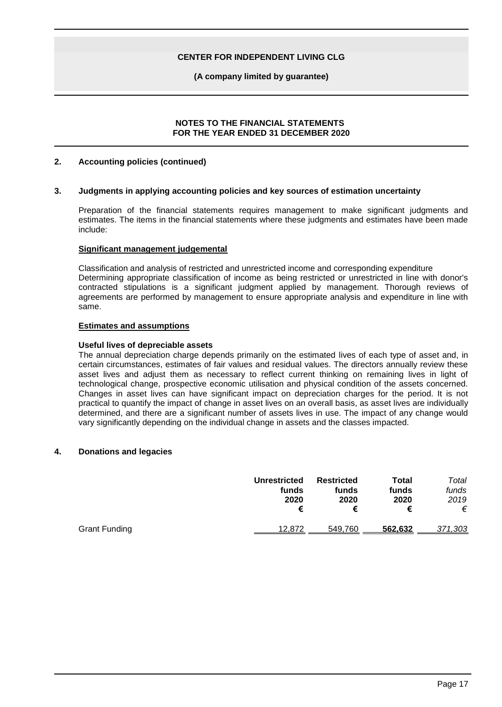**(A company limited by guarantee)**

## **NOTES TO THE FINANCIAL STATEMENTS FOR THE YEAR ENDED 31 DECEMBER 2020**

### **2. Accounting policies (continued)**

#### **3. Judgments in applying accounting policies and key sources of estimation uncertainty**

Preparation of the financial statements requires management to make significant judgments and estimates. The items in the financial statements where these judgments and estimates have been made include:

#### **Significant management judgemental**

Classification and analysis of restricted and unrestricted income and corresponding expenditure Determining appropriate classification of income as being restricted or unrestricted in line with donor's contracted stipulations is a significant judgment applied by management. Thorough reviews of agreements are performed by management to ensure appropriate analysis and expenditure in line with same.

#### **Estimates and assumptions**

#### **Useful lives of depreciable assets**

The annual depreciation charge depends primarily on the estimated lives of each type of asset and, in certain circumstances, estimates of fair values and residual values. The directors annually review these asset lives and adjust them as necessary to reflect current thinking on remaining lives in light of technological change, prospective economic utilisation and physical condition of the assets concerned. Changes in asset lives can have significant impact on depreciation charges for the period. It is not practical to quantify the impact of change in asset lives on an overall basis, as asset lives are individually determined, and there are a significant number of assets lives in use. The impact of any change would vary significantly depending on the individual change in assets and the classes impacted.

## **4. Donations and legacies**

|                      | <b>Unrestricted</b><br>funds<br>2020<br>€ | <b>Restricted</b><br>funds<br>2020<br>€ | Total<br>funds<br>2020 | Total<br>funds<br>2019<br>€ |
|----------------------|-------------------------------------------|-----------------------------------------|------------------------|-----------------------------|
| <b>Grant Funding</b> | 12,872                                    | 549.760                                 | 562.632                | 371,303                     |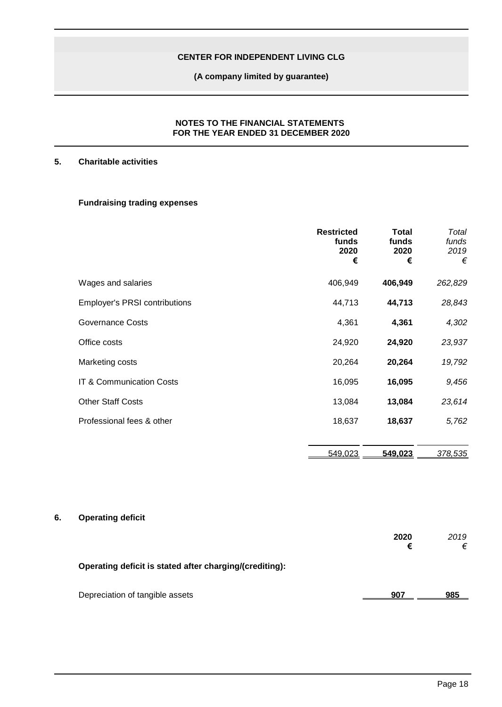**(A company limited by guarantee)**

### **NOTES TO THE FINANCIAL STATEMENTS FOR THE YEAR ENDED 31 DECEMBER 2020**

## **5. Charitable activities**

## **Fundraising trading expenses**

|                                      | <b>Restricted</b><br>funds<br>2020<br>€ | <b>Total</b><br>funds<br>2020<br>€ | Total<br>funds<br>2019<br>€ |
|--------------------------------------|-----------------------------------------|------------------------------------|-----------------------------|
| Wages and salaries                   | 406,949                                 | 406,949                            | 262,829                     |
| <b>Employer's PRSI contributions</b> | 44,713                                  | 44,713                             | 28,843                      |
| <b>Governance Costs</b>              | 4,361                                   | 4,361                              | 4,302                       |
| Office costs                         | 24,920                                  | 24,920                             | 23,937                      |
| Marketing costs                      | 20,264                                  | 20,264                             | 19,792                      |
| IT & Communication Costs             | 16,095                                  | 16,095                             | 9,456                       |
| <b>Other Staff Costs</b>             | 13,084                                  | 13,084                             | 23,614                      |
| Professional fees & other            | 18,637                                  | 18,637                             | 5,762                       |
|                                      | 549,023                                 | 549.023                            | 378,535                     |

## **6. Operating deficit**

|                                                         | 2020<br>€ | 2019<br>€ |
|---------------------------------------------------------|-----------|-----------|
| Operating deficit is stated after charging/(crediting): |           |           |
| Depreciation of tangible assets                         | 907       | 985       |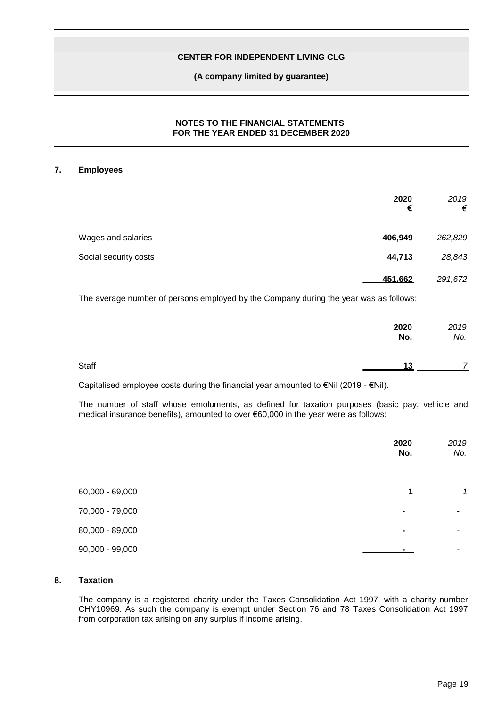### **(A company limited by guarantee)**

## **NOTES TO THE FINANCIAL STATEMENTS FOR THE YEAR ENDED 31 DECEMBER 2020**

### **7. Employees**

|                       | 2020<br>€ | 2019<br>€ |
|-----------------------|-----------|-----------|
| Wages and salaries    | 406,949   | 262,829   |
| Social security costs | 44,713    | 28,843    |
|                       | 451,662   | 291,672   |

The average number of persons employed by the Company during the year was as follows:

|       | 2020<br>No. | 2019<br>No. |
|-------|-------------|-------------|
| Staff | 13          |             |

Capitalised employee costs during the financial year amounted to €Nil (2019 - €Nil).

The number of staff whose emoluments, as defined for taxation purposes (basic pay, vehicle and medical insurance benefits), amounted to over €60,000 in the year were as follows:

|                 | 2020<br>No. | 2019<br>No. |
|-----------------|-------------|-------------|
| 60,000 - 69,000 | 1           | 1           |
| 70,000 - 79,000 | ۰           |             |
| 80,000 - 89,000 | ۰           |             |
| 90,000 - 99,000 |             |             |

#### **8. Taxation**

The company is a registered charity under the Taxes Consolidation Act 1997, with a charity number CHY10969. As such the company is exempt under Section 76 and 78 Taxes Consolidation Act 1997 from corporation tax arising on any surplus if income arising.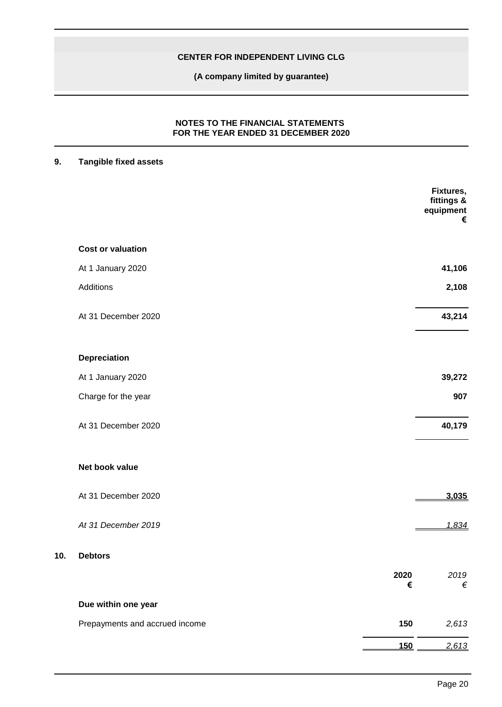**(A company limited by guarantee)**

## **NOTES TO THE FINANCIAL STATEMENTS FOR THE YEAR ENDED 31 DECEMBER 2020**

## **9. Tangible fixed assets**

**10. Debtors**

|                                |           | Fixtures,<br>fittings &<br>equipment<br>$\pmb{\epsilon}$ |
|--------------------------------|-----------|----------------------------------------------------------|
| <b>Cost or valuation</b>       |           |                                                          |
| At 1 January 2020              |           | 41,106                                                   |
| Additions                      |           | 2,108                                                    |
| At 31 December 2020            |           | 43,214                                                   |
| Depreciation                   |           |                                                          |
| At 1 January 2020              |           | 39,272                                                   |
| Charge for the year            |           | 907                                                      |
| At 31 December 2020            |           | 40,179                                                   |
| Net book value                 |           |                                                          |
| At 31 December 2020            |           | 3,035                                                    |
| At 31 December 2019            |           | 1,834                                                    |
| <b>Debtors</b>                 |           |                                                          |
|                                | 2020<br>€ | 2019<br>€                                                |
| Due within one year            |           |                                                          |
| Prepayments and accrued income | 150       | 2,613                                                    |
|                                | 150       | 2,613                                                    |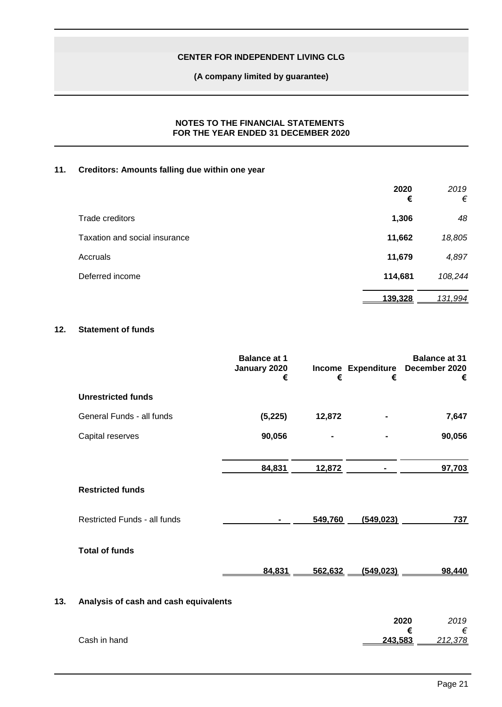**(A company limited by guarantee)**

## **NOTES TO THE FINANCIAL STATEMENTS FOR THE YEAR ENDED 31 DECEMBER 2020**

## **11. Creditors: Amounts falling due within one year**

|                               | 2020<br>€ | 2019<br>€ |
|-------------------------------|-----------|-----------|
| Trade creditors               | 1,306     | 48        |
| Taxation and social insurance | 11,662    | 18,805    |
| Accruals                      | 11,679    | 4,897     |
| Deferred income               | 114,681   | 108,244   |
|                               | 139,328   | 131,994   |

## **12. Statement of funds**

|     |                                       | <b>Balance at 1</b><br>January 2020<br>€ | €       | €              | <b>Balance at 31</b><br>Income Expenditure December 2020<br>€ |  |
|-----|---------------------------------------|------------------------------------------|---------|----------------|---------------------------------------------------------------|--|
|     | <b>Unrestricted funds</b>             |                                          |         |                |                                                               |  |
|     | General Funds - all funds             | (5, 225)                                 | 12,872  |                | 7,647                                                         |  |
|     | Capital reserves                      | 90,056                                   |         |                | 90,056                                                        |  |
|     |                                       | 84,831                                   | 12,872  | $\blacksquare$ | 97,703                                                        |  |
|     | <b>Restricted funds</b>               |                                          |         |                |                                                               |  |
|     | <b>Restricted Funds - all funds</b>   |                                          | 549,760 | (549, 023)     | 737                                                           |  |
|     | <b>Total of funds</b>                 |                                          |         |                |                                                               |  |
|     |                                       | 84,831                                   | 562,632 | (549, 023)     | 98,440                                                        |  |
| 13. | Analysis of cash and cash equivalents |                                          |         |                |                                                               |  |
|     |                                       |                                          |         |                | 2020<br>2019<br>€<br>€                                        |  |

**Cash in hand** 

**€** *€*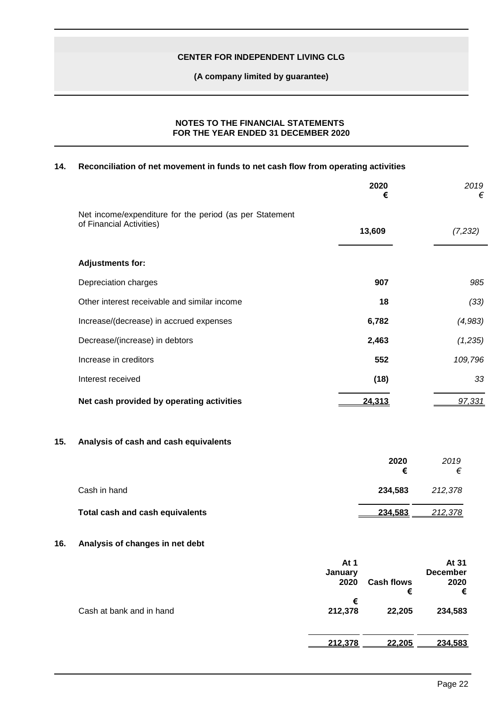**(A company limited by guarantee)**

### **NOTES TO THE FINANCIAL STATEMENTS FOR THE YEAR ENDED 31 DECEMBER 2020**

## **14. Reconciliation of net movement in funds to net cash flow from operating activities**

|     |                                                                                     |                         | 2020<br>€              | 2019<br>€                             |
|-----|-------------------------------------------------------------------------------------|-------------------------|------------------------|---------------------------------------|
|     | Net income/expenditure for the period (as per Statement<br>of Financial Activities) |                         |                        |                                       |
|     |                                                                                     |                         | 13,609                 | (7,232)                               |
|     | <b>Adjustments for:</b>                                                             |                         |                        |                                       |
|     | Depreciation charges                                                                |                         | 907                    | 985                                   |
|     | Other interest receivable and similar income                                        |                         | 18                     | (33)                                  |
|     | Increase/(decrease) in accrued expenses                                             |                         | 6,782                  | (4,983)                               |
|     | Decrease/(increase) in debtors                                                      |                         | 2,463                  | (1,235)                               |
|     | Increase in creditors                                                               |                         | 552                    | 109,796                               |
|     | Interest received                                                                   |                         | (18)                   | 33                                    |
|     | Net cash provided by operating activities                                           |                         | 24,313                 | 97,331                                |
| 15. | Analysis of cash and cash equivalents                                               |                         |                        |                                       |
|     |                                                                                     |                         | 2020<br>€              | 2019<br>€                             |
|     | Cash in hand                                                                        |                         | 234,583                | 212,378                               |
|     | Total cash and cash equivalents                                                     |                         | 234,583                | 212,378                               |
| 16. | Analysis of changes in net debt                                                     |                         |                        |                                       |
|     |                                                                                     | At 1<br>January<br>2020 | <b>Cash flows</b><br>€ | At 31<br><b>December</b><br>2020<br>€ |
|     | Cash at bank and in hand                                                            | €<br>212,378            | 22,205                 | 234,583                               |

**212,378 22,205 234,583**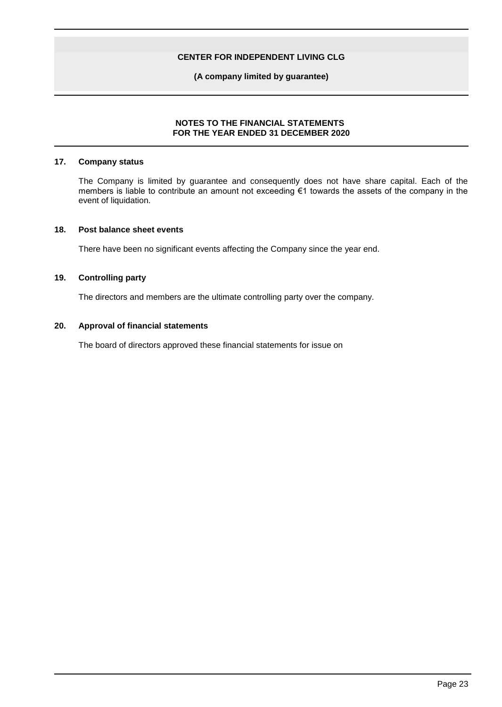**(A company limited by guarantee)**

## **NOTES TO THE FINANCIAL STATEMENTS FOR THE YEAR ENDED 31 DECEMBER 2020**

### **17. Company status**

The Company is limited by guarantee and consequently does not have share capital. Each of the members is liable to contribute an amount not exceeding €1 towards the assets of the company in the event of liquidation.

#### **18. Post balance sheet events**

There have been no significant events affecting the Company since the year end.

## **19. Controlling party**

The directors and members are the ultimate controlling party over the company.

### **20. Approval of financial statements**

The board of directors approved these financial statements for issue on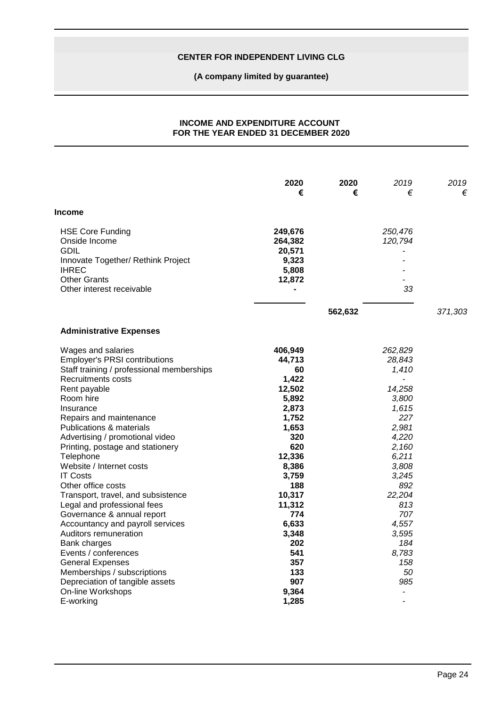**(A company limited by guarantee)**

## **INCOME AND EXPENDITURE ACCOUNT FOR THE YEAR ENDED 31 DECEMBER 2020**

|                                                                           | 2020<br>€                    | 2020<br>€ | 2019<br>€                | 2019<br>€ |
|---------------------------------------------------------------------------|------------------------------|-----------|--------------------------|-----------|
| Income                                                                    |                              |           |                          |           |
| <b>HSE Core Funding</b><br>Onside Income<br><b>GDIL</b>                   | 249,676<br>264,382<br>20,571 |           | 250,476<br>120,794       |           |
| Innovate Together/ Rethink Project<br><b>IHREC</b><br><b>Other Grants</b> | 9,323<br>5,808<br>12,872     |           |                          |           |
| Other interest receivable                                                 |                              |           | 33                       |           |
|                                                                           |                              | 562,632   |                          | 371,303   |
| <b>Administrative Expenses</b>                                            |                              |           |                          |           |
| Wages and salaries                                                        | 406,949                      |           | 262,829                  |           |
| <b>Employer's PRSI contributions</b>                                      | 44,713                       |           | 28,843                   |           |
| Staff training / professional memberships                                 | 60                           |           | 1,410                    |           |
| Recruitments costs                                                        | 1,422                        |           |                          |           |
| Rent payable                                                              | 12,502                       |           | 14,258                   |           |
| Room hire<br>Insurance                                                    | 5,892<br>2,873               |           | 3,800<br>1,615           |           |
| Repairs and maintenance                                                   | 1,752                        |           | 227                      |           |
| <b>Publications &amp; materials</b>                                       | 1,653                        |           | 2,981                    |           |
| Advertising / promotional video                                           | 320                          |           | 4,220                    |           |
| Printing, postage and stationery                                          | 620                          |           | 2,160                    |           |
| Telephone                                                                 | 12,336                       |           | 6,211                    |           |
| Website / Internet costs                                                  | 8,386                        |           | 3,808                    |           |
| <b>IT Costs</b>                                                           | 3,759                        |           | 3,245                    |           |
| Other office costs                                                        | 188                          |           | 892                      |           |
| Transport, travel, and subsistence                                        | 10,317                       |           | 22,204                   |           |
| Legal and professional fees                                               | 11,312                       |           | 813                      |           |
| Governance & annual report                                                | 774                          |           | 707                      |           |
| Accountancy and payroll services                                          | 6,633                        |           | 4,557                    |           |
| Auditors remuneration                                                     | 3,348                        |           | 3,595                    |           |
| Bank charges                                                              | 202                          |           | 184                      |           |
| Events / conferences                                                      | 541                          |           | 8,783                    |           |
| <b>General Expenses</b>                                                   | 357                          |           | 158                      |           |
| Memberships / subscriptions                                               | 133                          |           | 50                       |           |
| Depreciation of tangible assets                                           | 907                          |           | 985                      |           |
| On-line Workshops                                                         | 9,364                        |           |                          |           |
| E-working                                                                 | 1,285                        |           | $\overline{\phantom{0}}$ |           |